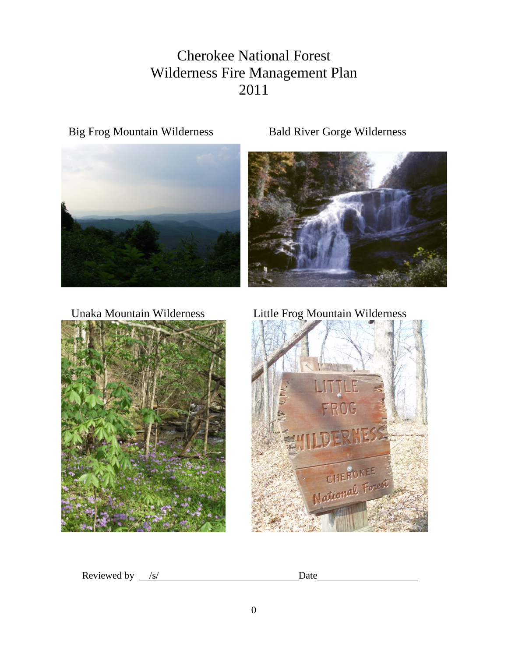# Cherokee National Forest Wilderness Fire Management Plan 2011

Big Frog Mountain Wilderness Bald River Gorge Wilderness



Unaka Mountain Wilderness





Little Frog Mountain Wilderness



Reviewed by <u>/s/ Date</u> Date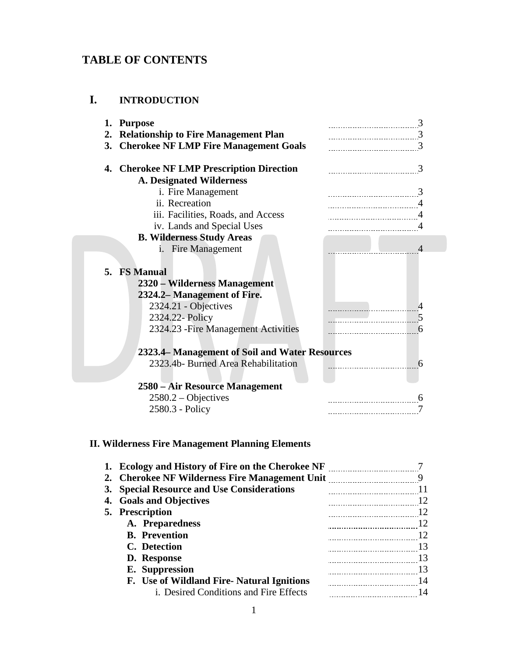## **TABLE OF CONTENTS**

## **I. INTRODUCTION**

| 1. Purpose                                                                   | -------------------------------    |
|------------------------------------------------------------------------------|------------------------------------|
| <b>Relationship to Fire Management Plan</b><br>2.                            | ---------------------------------- |
| 3. Cherokee NF LMP Fire Management Goals                                     |                                    |
| 4. Cherokee NF LMP Prescription Direction<br><b>A. Designated Wilderness</b> |                                    |
| i. Fire Management                                                           |                                    |
| ii. Recreation                                                               |                                    |
| iii. Facilities, Roads, and Access                                           |                                    |
| iv. Lands and Special Uses                                                   |                                    |
| <b>B. Wilderness Study Areas</b>                                             |                                    |
| i. Fire Management                                                           |                                    |
| 5. FS Manual<br>2320 - Wilderness Management                                 |                                    |
| 2324.2-Management of Fire.                                                   |                                    |
| 2324.21 - Objectives                                                         |                                    |
| 2324.22- Policy                                                              |                                    |
| 2324.23 - Fire Management Activities                                         | __________________________         |
| 2323.4– Management of Soil and Water Resources                               |                                    |
| 2323.4b- Burned Area Rehabilitation                                          |                                    |
| 2580 – Air Resource Management                                               |                                    |
| $2580.2 - Objectives$                                                        |                                    |
| 2580.3 - Policy                                                              | ----------------------------       |

## **II. Wilderness Fire Management Planning Elements**

|                                           | 9                                                                                                                                                                                                                                                                         |
|-------------------------------------------|---------------------------------------------------------------------------------------------------------------------------------------------------------------------------------------------------------------------------------------------------------------------------|
|                                           | -11                                                                                                                                                                                                                                                                       |
|                                           | 12                                                                                                                                                                                                                                                                        |
|                                           | $\ldots$ 12                                                                                                                                                                                                                                                               |
| A. Preparedness                           | -12<br>                                                                                                                                                                                                                                                                   |
| <b>B.</b> Prevention                      | 12                                                                                                                                                                                                                                                                        |
| C. Detection                              | 13                                                                                                                                                                                                                                                                        |
| D. Response                               | -13                                                                                                                                                                                                                                                                       |
| E. Suppression                            | 13<br>                                                                                                                                                                                                                                                                    |
| F. Use of Wildland Fire-Natural Ignitions | -14<br>                                                                                                                                                                                                                                                                   |
| i. Desired Conditions and Fire Effects    | 14<br>                                                                                                                                                                                                                                                                    |
|                                           | 1. Ecology and History of Fire on the Cherokee NF<br>2. Cherokee NF Wilderness Fire Management Unit <b>manual contract of the Cherokee NF</b> Wilderness Fire Management Unit<br>3. Special Resource and Use Considerations<br>4. Goals and Objectives<br>5. Prescription |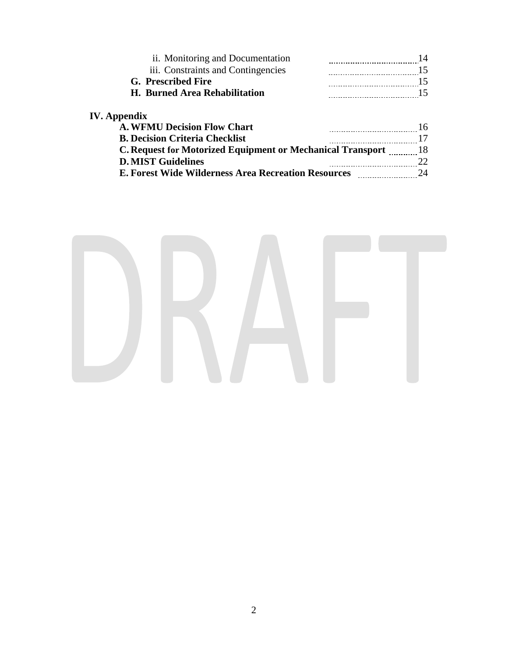| ii. Monitoring and Documentation                                          | 14  |
|---------------------------------------------------------------------------|-----|
| iii. Constraints and Contingencies<br>----------------------------------- |     |
| G. Prescribed Fire                                                        | -15 |
| H. Burned Area Rehabilitation                                             |     |
| <b>IV.</b> Appendix                                                       |     |
| <b>A. WFMU Decision Flow Chart</b>                                        | 16  |
| <b>B. Decision Criteria Checklist</b>                                     |     |
| $\alpha$ December Material Equinoment on Material Transport (10)          |     |

**C. Request for Motorized Equipment or Mechanical Transport** 18<br>**D. MIST Guidelines** 22 **D. MIST Guidelines** 22 **E. Forest Wide Wilderness Area Recreation Resources** 24

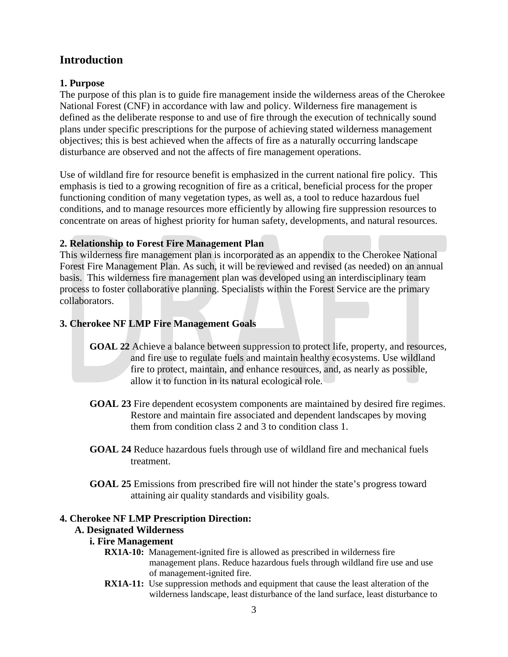### **Introduction**

#### **1. Purpose**

The purpose of this plan is to guide fire management inside the wilderness areas of the Cherokee National Forest (CNF) in accordance with law and policy. Wilderness fire management is defined as the deliberate response to and use of fire through the execution of technically sound plans under specific prescriptions for the purpose of achieving stated wilderness management objectives; this is best achieved when the affects of fire as a naturally occurring landscape disturbance are observed and not the affects of fire management operations.

Use of wildland fire for resource benefit is emphasized in the current national fire policy. This emphasis is tied to a growing recognition of fire as a critical, beneficial process for the proper functioning condition of many vegetation types, as well as, a tool to reduce hazardous fuel conditions, and to manage resources more efficiently by allowing fire suppression resources to concentrate on areas of highest priority for human safety, developments, and natural resources.

#### **2. Relationship to Forest Fire Management Plan**

This wilderness fire management plan is incorporated as an appendix to the Cherokee National Forest Fire Management Plan. As such, it will be reviewed and revised (as needed) on an annual basis. This wilderness fire management plan was developed using an interdisciplinary team process to foster collaborative planning. Specialists within the Forest Service are the primary collaborators.

#### **3. Cherokee NF LMP Fire Management Goals**

- **GOAL 22** Achieve a balance between suppression to protect life, property, and resources, and fire use to regulate fuels and maintain healthy ecosystems. Use wildland fire to protect, maintain, and enhance resources, and, as nearly as possible, allow it to function in its natural ecological role.
- **GOAL 23** Fire dependent ecosystem components are maintained by desired fire regimes. Restore and maintain fire associated and dependent landscapes by moving them from condition class 2 and 3 to condition class 1.
- **GOAL 24** Reduce hazardous fuels through use of wildland fire and mechanical fuels treatment.
- **GOAL 25** Emissions from prescribed fire will not hinder the state's progress toward attaining air quality standards and visibility goals.

#### **4. Cherokee NF LMP Prescription Direction:**

## **A. Designated Wilderness**

### **i. Fire Management**

- **RX1A-10:** Management-ignited fire is allowed as prescribed in wilderness fire management plans. Reduce hazardous fuels through wildland fire use and use of management-ignited fire.
- **RX1A-11:** Use suppression methods and equipment that cause the least alteration of the wilderness landscape, least disturbance of the land surface, least disturbance to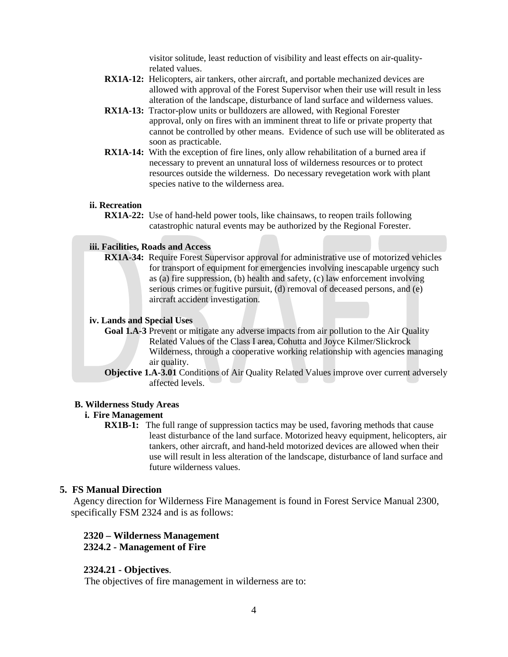visitor solitude, least reduction of visibility and least effects on air-quality related values.

- **RX1A-12:** Helicopters, air tankers, other aircraft, and portable mechanized devices are allowed with approval of the Forest Supervisor when their use will result in less alteration of the landscape, disturbance of land surface and wilderness values.
- **RX1A-13:** Tractor-plow units or bulldozers are allowed, with Regional Forester approval, only on fires with an imminent threat to life or private property that cannot be controlled by other means. Evidence of such use will be obliterated as soon as practicable.
- **RX1A-14:** With the exception of fire lines, only allow rehabilitation of a burned area if necessary to prevent an unnatural loss of wilderness resources or to protect resources outside the wilderness. Do necessary revegetation work with plant species native to the wilderness area.

#### **ii. Recreation**

**RX1A-22:** Use of hand-held power tools, like chainsaws, to reopen trails following catastrophic natural events may be authorized by the Regional Forester.

**iii. Facilities, Roads and Access**

**RX1A-34:** Require Forest Supervisor approval for administrative use of motorized vehicles for transport of equipment for emergencies involving inescapable urgency such as (a) fire suppression, (b) health and safety, (c) law enforcement involving serious crimes or fugitive pursuit, (d) removal of deceased persons, and (e) aircraft accident investigation.

#### **iv. Lands and Special Uses**

**Goal 1.A-3** Prevent or mitigate any adverse impacts from air pollution to the Air Quality Related Values of the Class I area, Cohutta and Joyce Kilmer/Slickrock Wilderness, through a cooperative working relationship with agencies managing air quality.

**Objective 1.A-3.01** Conditions of Air Quality Related Values improve over current adversely affected levels.

#### **B. Wilderness Study Areas**

#### **i. Fire Management**

**RX1B-1:** The full range of suppression tactics may be used, favoring methods that cause least disturbance of the land surface. Motorized heavy equipment, helicopters, air tankers, other aircraft, and hand-held motorized devices are allowed when their use will result in less alteration of the landscape, disturbance of land surface and future wilderness values.

#### **5. FS Manual Direction**

Agency direction for Wilderness Fire Management is found in Forest Service Manual 2300, specifically FSM 2324 and is as follows:

#### **2320 – Wilderness Management**

 **2324.2 - Management of Fire**

#### **2324.21 - Objectives**.

The objectives of fire management in wilderness are to: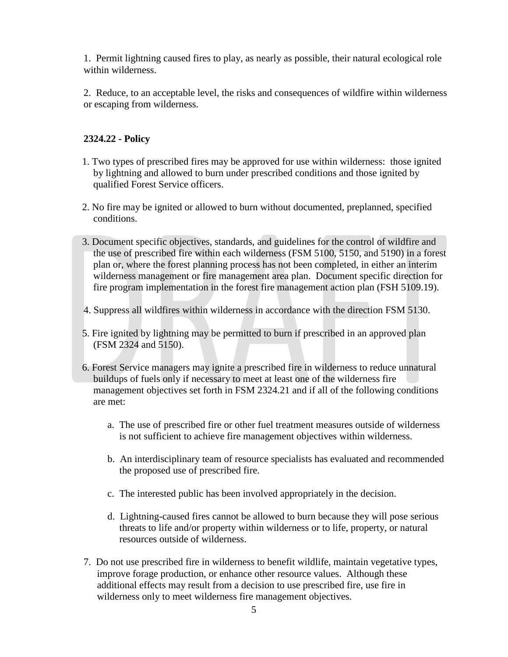1. Permit lightning caused fires to play, as nearly as possible, their natural ecological role within wilderness.

2. Reduce, to an acceptable level, the risks and consequences of wildfire within wilderness or escaping from wilderness.

### **2324.22 - Policy**

- 1. Two types of prescribed fires may be approved for use within wilderness: those ignited by lightning and allowed to burn under prescribed conditions and those ignited by qualified Forest Service officers.
- 2. No fire may be ignited or allowed to burn without documented, preplanned, specified conditions.
- 3. Document specific objectives, standards, and guidelines for the control of wildfire and the use of prescribed fire within each wilderness (FSM 5100, 5150, and 5190) in a forest plan or, where the forest planning process has not been completed, in either an interim wilderness management or fire management area plan. Document specific direction for fire program implementation in the forest fire management action plan (FSH 5109.19).
- 4. Suppress all wildfires within wilderness in accordance with the direction FSM 5130.
- 5. Fire ignited by lightning may be permitted to burn if prescribed in an approved plan (FSM 2324 and 5150).
- 6. Forest Service managers may ignite a prescribed fire in wilderness to reduce unnatural buildups of fuels only if necessary to meet at least one of the wilderness fire management objectives set forth in FSM 2324.21 and if all of the following conditions are met:
	- a. The use of prescribed fire or other fuel treatment measures outside of wilderness is not sufficient to achieve fire management objectives within wilderness.
	- b. An interdisciplinary team of resource specialists has evaluated and recommended the proposed use of prescribed fire.
	- c. The interested public has been involved appropriately in the decision.
	- d. Lightning-caused fires cannot be allowed to burn because they will pose serious threats to life and/or property within wilderness or to life, property, or natural resources outside of wilderness.
- 7. Do not use prescribed fire in wilderness to benefit wildlife, maintain vegetative types, improve forage production, or enhance other resource values. Although these additional effects may result from a decision to use prescribed fire, use fire in wilderness only to meet wilderness fire management objectives.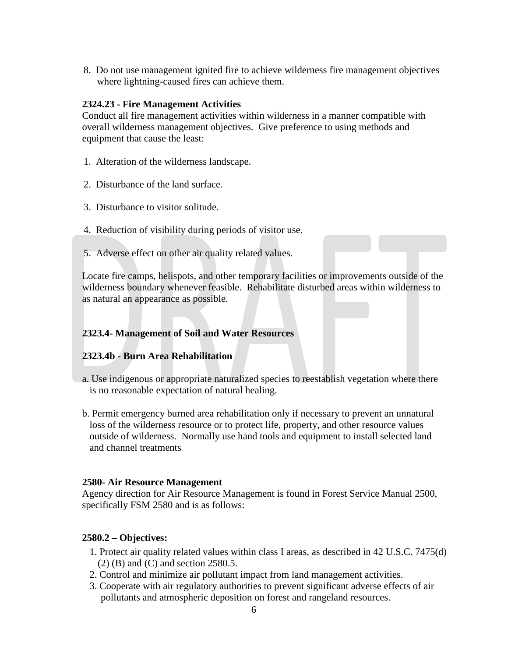8. Do not use management ignited fire to achieve wilderness fire management objectives where lightning-caused fires can achieve them.

#### **2324.23 - Fire Management Activities**

Conduct all fire management activities within wilderness in a manner compatible with overall wilderness management objectives. Give preference to using methods and equipment that cause the least:

- 1. Alteration of the wilderness landscape.
- 2. Disturbance of the land surface.
- 3. Disturbance to visitor solitude.
- 4. Reduction of visibility during periods of visitor use.
- 5. Adverse effect on other air quality related values.

Locate fire camps, helispots, and other temporary facilities or improvements outside of the wilderness boundary whenever feasible. Rehabilitate disturbed areas within wilderness to as natural an appearance as possible.

#### **2323.4- Management of Soil and Water Resources**

#### **2323.4b - Burn Area Rehabilitation**

- a. Use indigenous or appropriate naturalized species to reestablish vegetation where there is no reasonable expectation of natural healing.
- b. Permit emergency burned area rehabilitation only if necessary to prevent an unnatural loss of the wilderness resource or to protect life, property, and other resource values outside of wilderness. Normally use hand tools and equipment to install selected land and channel treatments

#### **2580- Air Resource Management**

Agency direction for Air Resource Management is found in Forest Service Manual 2500, specifically FSM 2580 and is as follows:

#### **2580.2 – Objectives:**

- 1. Protect air quality related values within class I areas, as described in 42 U.S.C. 7475(d) (2) (B) and (C) and section 2580.5.
- 2. Control and minimize air pollutant impact from land management activities.
- 3. Cooperate with air regulatory authorities to prevent significant adverse effects of air pollutants and atmospheric deposition on forest and rangeland resources.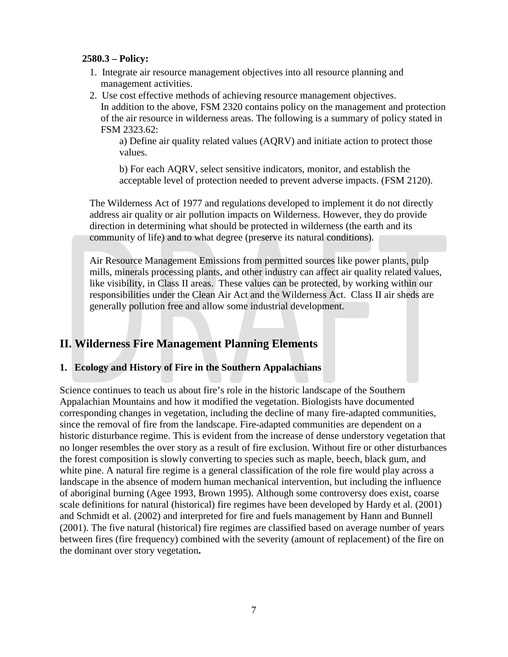#### **2580.3 – Policy:**

- 1. Integrate air resource management objectives into all resource planning and management activities.
- 2. Use cost effective methods of achieving resource management objectives. In addition to the above, FSM 2320 contains policy on the management and protection of the air resource in wilderness areas. The following is a summary of policy stated in FSM 2323.62:

a) Define air quality related values (AQRV) and initiate action to protect those values.

b) For each AQRV, select sensitive indicators, monitor, and establish the acceptable level of protection needed to prevent adverse impacts. (FSM 2120).

The Wilderness Act of 1977 and regulations developed to implement it do not directly address air quality or air pollution impacts on Wilderness. However, they do provide direction in determining what should be protected in wilderness (the earth and its community of life) and to what degree (preserve its natural conditions).

Air Resource Management Emissions from permitted sources like power plants, pulp mills, minerals processing plants, and other industry can affect air quality related values, like visibility, in Class II areas. These values can be protected, by working within our responsibilities under the Clean Air Act and the Wilderness Act. Class II air sheds are generally pollution free and allow some industrial development.

## **II. Wilderness Fire Management Planning Elements**

#### **1. Ecology and History of Fire in the Southern Appalachians**

Science continues to teach us about fire's role in the historic landscape of the Southern Appalachian Mountains and how it modified the vegetation. Biologists have documented corresponding changes in vegetation, including the decline of many fire-adapted communities, since the removal of fire from the landscape. Fire-adapted communities are dependent on a historic disturbance regime. This is evident from the increase of dense understory vegetation that no longer resembles the over story as a result of fire exclusion. Without fire or other disturbances the forest composition is slowly converting to species such as maple, beech, black gum, and white pine. A natural fire regime is a general classification of the role fire would play across a landscape in the absence of modern human mechanical intervention, but including the influence of aboriginal burning (Agee 1993, Brown 1995). Although some controversy does exist, coarse scale definitions for natural (historical) fire regimes have been developed by Hardy et al. (2001) and Schmidt et al. (2002) and interpreted for fire and fuels management by Hann and Bunnell (2001). The five natural (historical) fire regimes are classified based on average number of years between fires (fire frequency) combined with the severity (amount of replacement) of the fire on the dominant over story vegetation**.**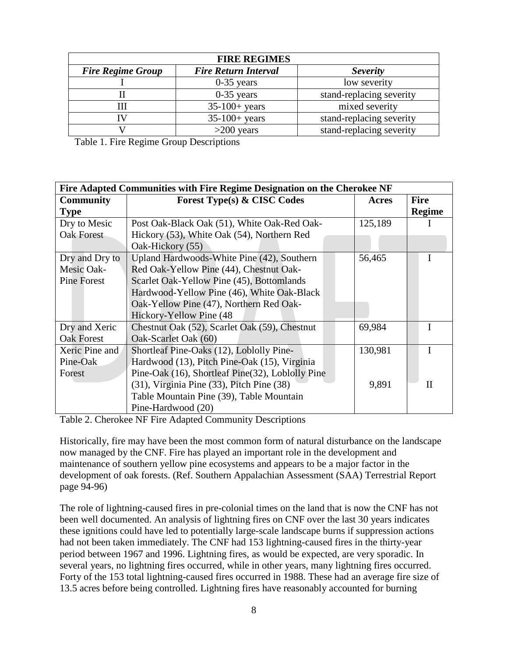| <b>FIRE REGIMES</b>                                     |                 |                          |  |
|---------------------------------------------------------|-----------------|--------------------------|--|
| <b>Fire Return Interval</b><br><b>Fire Regime Group</b> |                 | <b>Severity</b>          |  |
|                                                         | $0-35$ years    | low severity             |  |
|                                                         | $0-35$ years    | stand-replacing severity |  |
| Ш                                                       | $35-100+ years$ | mixed severity           |  |
| ΓV                                                      | $35-100+ years$ | stand-replacing severity |  |
|                                                         | $>200$ years    | stand-replacing severity |  |

Table 1. Fire Regime Group Descriptions

| Fire Adapted Communities with Fire Regime Designation on the Cherokee NF |                                                  |         |               |
|--------------------------------------------------------------------------|--------------------------------------------------|---------|---------------|
| <b>Community</b>                                                         | <b>Forest Type(s) &amp; CISC Codes</b>           | Acres   | <b>Fire</b>   |
| <b>Type</b>                                                              |                                                  |         | <b>Regime</b> |
| Dry to Mesic                                                             | Post Oak-Black Oak (51), White Oak-Red Oak-      | 125,189 |               |
| <b>Oak Forest</b>                                                        | Hickory (53), White Oak (54), Northern Red       |         |               |
|                                                                          | Oak-Hickory (55)                                 |         |               |
| Dry and Dry to                                                           | Upland Hardwoods-White Pine (42), Southern       | 56,465  |               |
| Mesic Oak-                                                               | Red Oak-Yellow Pine (44), Chestnut Oak-          |         |               |
| Pine Forest                                                              | Scarlet Oak-Yellow Pine (45), Bottomlands        |         |               |
|                                                                          | Hardwood-Yellow Pine (46), White Oak-Black       |         |               |
|                                                                          | Oak-Yellow Pine (47), Northern Red Oak-          |         |               |
|                                                                          | Hickory-Yellow Pine (48)                         |         |               |
| Dry and Xeric                                                            | Chestnut Oak (52), Scarlet Oak (59), Chestnut    | 69,984  |               |
| <b>Oak Forest</b>                                                        | Oak-Scarlet Oak (60)                             |         |               |
| Xeric Pine and                                                           | Shortleaf Pine-Oaks (12), Loblolly Pine-         | 130,981 | I             |
| Pine-Oak                                                                 | Hardwood (13), Pitch Pine-Oak (15), Virginia     |         |               |
| Forest                                                                   | Pine-Oak (16), Shortleaf Pine(32), Loblolly Pine |         |               |
|                                                                          | (31), Virginia Pine (33), Pitch Pine (38)        | 9,891   | $_{\rm II}$   |
|                                                                          | Table Mountain Pine (39), Table Mountain         |         |               |
|                                                                          | Pine-Hardwood (20)                               |         |               |

Table 2. Cherokee NF Fire Adapted Community Descriptions

Historically, fire may have been the most common form of natural disturbance on the landscape now managed by the CNF. Fire has played an important role in the development and maintenance of southern yellow pine ecosystems and appears to be a major factor in the development of oak forests. (Ref. Southern Appalachian Assessment (SAA) Terrestrial Report page 94-96)

The role of lightning-caused fires in pre-colonial times on the land that is now the CNF has not been well documented. An analysis of lightning fires on CNF over the last 30 years indicates these ignitions could have led to potentially large-scale landscape burns if suppression actions had not been taken immediately. The CNF had 153 lightning-caused fires in the thirty-year period between 1967 and 1996. Lightning fires, as would be expected, are very sporadic. In several years, no lightning fires occurred, while in other years, many lightning fires occurred. Forty of the 153 total lightning-caused fires occurred in 1988. These had an average fire size of 13.5 acres before being controlled. Lightning fires have reasonably accounted for burning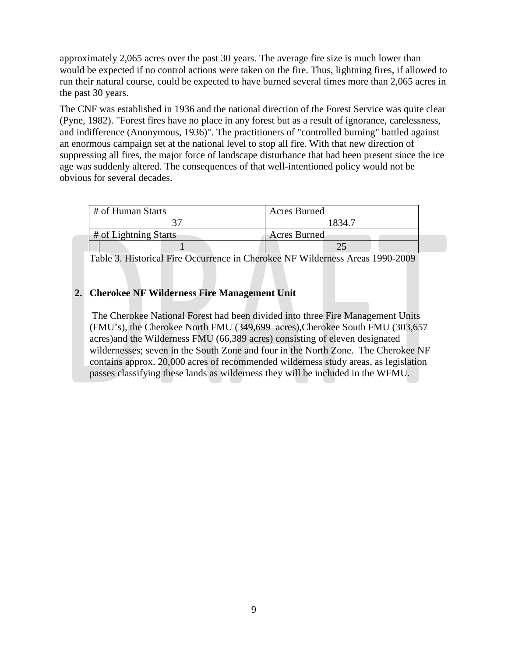approximately 2,065 acres over the past 30 years. The average fire size is much lower than would be expected if no control actions were taken on the fire. Thus, lightning fires, if allowed to run their natural course, could be expected to have burned several times more than 2,065 acres in the past 30 years.

The CNF was established in 1936 and the national direction of the Forest Service was quite clear (Pyne, 1982). "Forest fires have no place in any forest but as a result of ignorance, carelessness, and indifference (Anonymous, 1936)". The practitioners of "controlled burning" battled against an enormous campaign set at the national level to stop all fire. With that new direction of suppressing all fires, the major force of landscape disturbance that had been present since the ice age was suddenly altered. The consequences of that well-intentioned policy would not be obvious for several decades.

| # of Human Starts     | <b>Acres Burned</b> |
|-----------------------|---------------------|
|                       |                     |
| # of Lightning Starts | <b>Acres Burned</b> |
|                       |                     |

Table 3. Historical Fire Occurrence in Cherokee NF Wilderness Areas 1990-2009

#### **2. Cherokee NF Wilderness Fire Management Unit**

 The Cherokee National Forest had been divided into three Fire Management Units (FMU's), the Cherokee North FMU (349,699 acres),Cherokee South FMU (303,657 acres)and the Wilderness FMU (66,389 acres) consisting of eleven designated wildernesses; seven in the South Zone and four in the North Zone. The Cherokee NF contains approx. 20,000 acres of recommended wilderness study areas, as legislation passes classifying these lands as wilderness they will be included in the WFMU.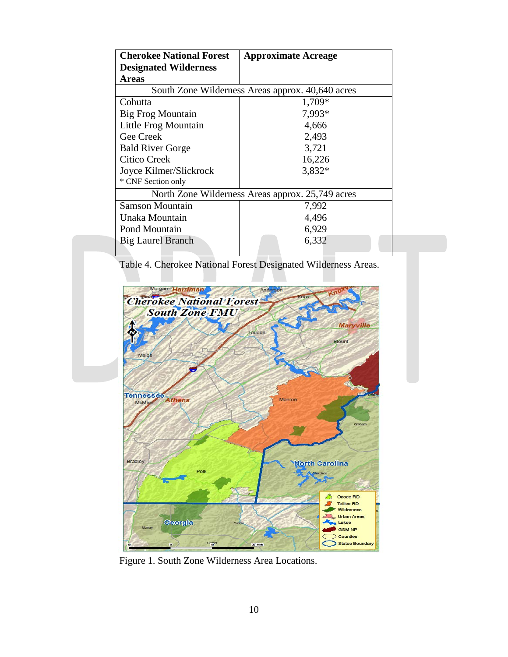| <b>Cherokee National Forest</b>                  | <b>Approximate Acreage</b>                       |  |
|--------------------------------------------------|--------------------------------------------------|--|
| <b>Designated Wilderness</b>                     |                                                  |  |
| <b>Areas</b>                                     |                                                  |  |
|                                                  | South Zone Wilderness Areas approx. 40,640 acres |  |
| Cohutta                                          | 1,709*                                           |  |
| Big Frog Mountain                                | 7,993*                                           |  |
| Little Frog Mountain                             | 4,666                                            |  |
| Gee Creek                                        | 2,493                                            |  |
| <b>Bald River Gorge</b>                          | 3,721                                            |  |
| Citico Creek                                     | 16,226                                           |  |
| Joyce Kilmer/Slickrock                           | 3,832*                                           |  |
| * CNF Section only                               |                                                  |  |
| North Zone Wilderness Areas approx. 25,749 acres |                                                  |  |
| Samson Mountain                                  | 7,992                                            |  |
| Unaka Mountain                                   | 4,496                                            |  |
| Pond Mountain                                    | 6,929                                            |  |
| Big Laurel Branch                                | 6,332                                            |  |
|                                                  |                                                  |  |

Table 4. Cherokee National Forest Designated Wilderness Areas.



Figure 1. South Zone Wilderness Area Locations.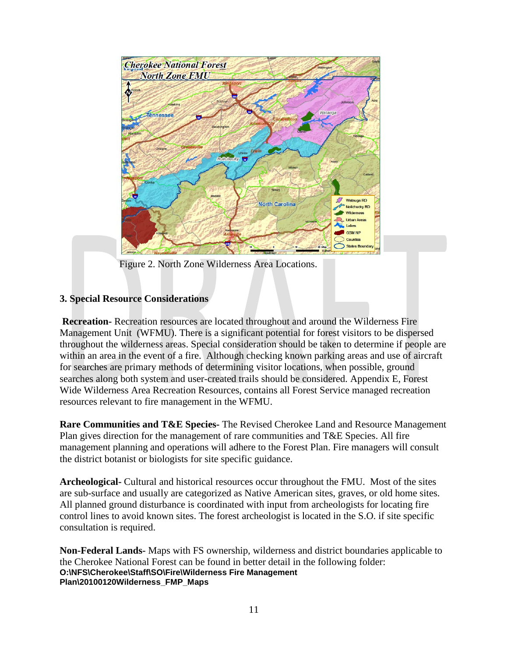

Figure 2. North Zone Wilderness Area Locations.

#### **3. Special Resource Considerations**

**Recreation-** Recreation resources are located throughout and around the Wilderness Fire Management Unit (WFMU). There is a significant potential for forest visitors to be dispersed throughout the wilderness areas. Special consideration should be taken to determine if people are within an area in the event of a fire. Although checking known parking areas and use of aircraft for searches are primary methods of determining visitor locations, when possible, ground searches along both system and user-created trails should be considered. Appendix E, Forest Wide Wilderness Area Recreation Resources, contains all Forest Service managed recreation resources relevant to fire management in the WFMU.

**Rare Communities and T&E Species-** The Revised Cherokee Land and Resource Management Plan gives direction for the management of rare communities and T&E Species. All fire management planning and operations will adhere to the Forest Plan. Fire managers will consult the district botanist or biologists for site specific guidance.

**Archeological-** Cultural and historical resources occur throughout the FMU. Most of the sites are sub-surface and usually are categorized as Native American sites, graves, or old home sites. All planned ground disturbance is coordinated with input from archeologists for locating fire control lines to avoid known sites. The forest archeologist is located in the S.O. if site specific consultation is required.

**Non-Federal Lands-** Maps with FS ownership, wilderness and district boundaries applicable to the Cherokee National Forest can be found in better detail in the following folder: **O:\NFS\Cherokee\Staff\SO\Fire\Wilderness Fire Management Plan\20100120Wilderness\_FMP\_Maps**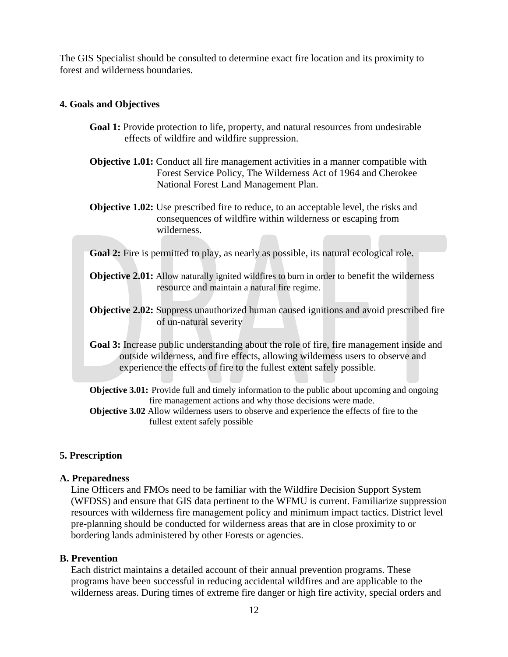The GIS Specialist should be consulted to determine exact fire location and its proximity to forest and wilderness boundaries.

#### **4. Goals and Objectives**

- **Goal 1:** Provide protection to life, property, and natural resources from undesirable effects of wildfire and wildfire suppression.
- **Objective 1.01:** Conduct all fire management activities in a manner compatible with Forest Service Policy, The Wilderness Act of 1964 and Cherokee National Forest Land Management Plan.
- **Objective 1.02:** Use prescribed fire to reduce, to an acceptable level, the risks and consequences of wildfire within wilderness or escaping from wilderness.

Goal 2: Fire is permitted to play, as nearly as possible, its natural ecological role.

- **Objective 2.01:** Allow naturally ignited wildfires to burn in order to benefit the wilderness resource and maintain a natural fire regime.
- **Objective 2.02:** Suppress unauthorized human caused ignitions and avoid prescribed fire of un-natural severity
- **Goal 3:** Increase public understanding about the role of fire, fire management inside and outside wilderness, and fire effects, allowing wilderness users to observe and experience the effects of fire to the fullest extent safely possible.
- **Objective 3.01:** Provide full and timely information to the public about upcoming and ongoing fire management actions and why those decisions were made.
- **Objective 3.02** Allow wilderness users to observe and experience the effects of fire to the fullest extent safely possible

#### **5. Prescription**

#### **A. Preparedness**

Line Officers and FMOs need to be familiar with the Wildfire Decision Support System (WFDSS) and ensure that GIS data pertinent to the WFMU is current. Familiarize suppression resources with wilderness fire management policy and minimum impact tactics. District level pre-planning should be conducted for wilderness areas that are in close proximity to or bordering lands administered by other Forests or agencies.

#### **B. Prevention**

Each district maintains a detailed account of their annual prevention programs. These programs have been successful in reducing accidental wildfires and are applicable to the wilderness areas. During times of extreme fire danger or high fire activity, special orders and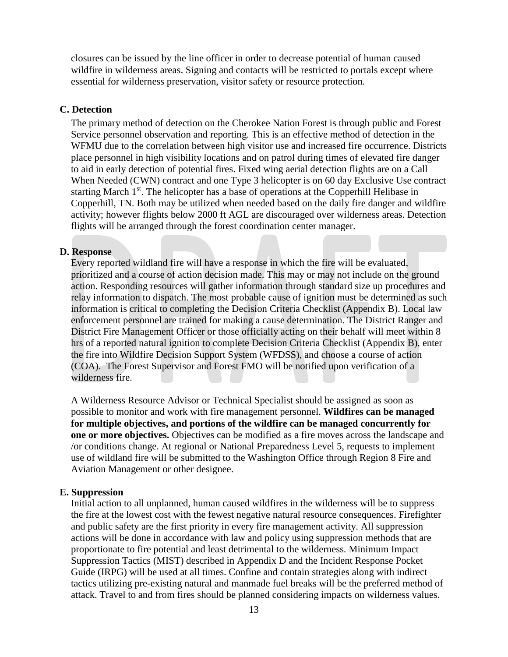closures can be issued by the line officer in order to decrease potential of human caused wildfire in wilderness areas. Signing and contacts will be restricted to portals except where essential for wilderness preservation, visitor safety or resource protection.

#### **C. Detection**

The primary method of detection on the Cherokee Nation Forest is through public and Forest Service personnel observation and reporting. This is an effective method of detection in the WFMU due to the correlation between high visitor use and increased fire occurrence. Districts place personnel in high visibility locations and on patrol during times of elevated fire danger to aid in early detection of potential fires. Fixed wing aerial detection flights are on a Call When Needed (CWN) contract and one Type 3 helicopter is on 60 day Exclusive Use contract starting March  $1<sup>st</sup>$ . The helicopter has a base of operations at the Copperhill Helibase in Copperhill, TN. Both may be utilized when needed based on the daily fire danger and wildfire activity; however flights below 2000 ft AGL are discouraged over wilderness areas. Detection flights will be arranged through the forest coordination center manager.

#### **D. Response**

Every reported wildland fire will have a response in which the fire will be evaluated, prioritized and a course of action decision made. This may or may not include on the ground action. Responding resources will gather information through standard size up procedures and relay information to dispatch. The most probable cause of ignition must be determined as such information is critical to completing the Decision Criteria Checklist (Appendix B). Local law enforcement personnel are trained for making a cause determination. The District Ranger and District Fire Management Officer or those officially acting on their behalf will meet within 8 hrs of a reported natural ignition to complete Decision Criteria Checklist (Appendix B), enter the fire into Wildfire Decision Support System (WFDSS), and choose a course of action (COA). The Forest Supervisor and Forest FMO will be notified upon verification of a wilderness fire.

A Wilderness Resource Advisor or Technical Specialist should be assigned as soon as possible to monitor and work with fire management personnel. **Wildfires can be managed for multiple objectives, and portions of the wildfire can be managed concurrently for one or more objectives.** Objectives can be modified as a fire moves across the landscape and /or conditions change. At regional or National Preparedness Level 5, requests to implement use of wildland fire will be submitted to the Washington Office through Region 8 Fire and Aviation Management or other designee.

#### **E. Suppression**

Initial action to all unplanned, human caused wildfires in the wilderness will be to suppress the fire at the lowest cost with the fewest negative natural resource consequences. Firefighter and public safety are the first priority in every fire management activity. All suppression actions will be done in accordance with law and policy using suppression methods that are proportionate to fire potential and least detrimental to the wilderness. Minimum Impact Suppression Tactics (MIST) described in Appendix D and the Incident Response Pocket Guide (IRPG) will be used at all times. Confine and contain strategies along with indirect tactics utilizing pre-existing natural and manmade fuel breaks will be the preferred method of attack. Travel to and from fires should be planned considering impacts on wilderness values.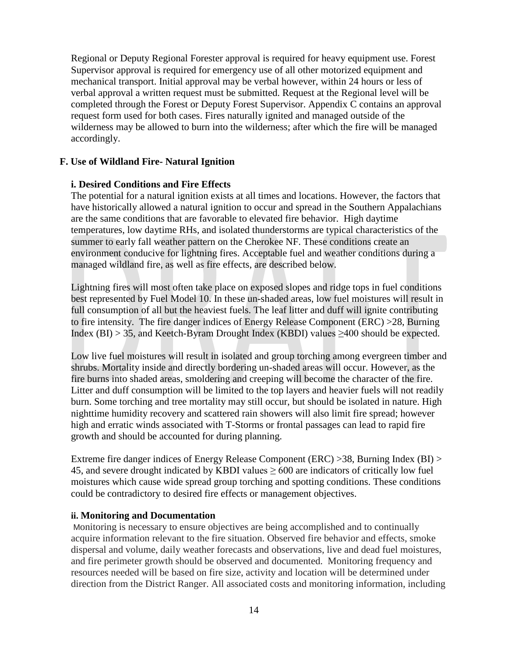Regional or Deputy Regional Forester approval is required for heavy equipment use. Forest Supervisor approval is required for emergency use of all other motorized equipment and mechanical transport. Initial approval may be verbal however, within 24 hours or less of verbal approval a written request must be submitted. Request at the Regional level will be completed through the Forest or Deputy Forest Supervisor. Appendix C contains an approval request form used for both cases. Fires naturally ignited and managed outside of the wilderness may be allowed to burn into the wilderness; after which the fire will be managed accordingly.

#### **F. Use of Wildland Fire- Natural Ignition**

#### **i. Desired Conditions and Fire Effects**

The potential for a natural ignition exists at all times and locations. However, the factors that have historically allowed a natural ignition to occur and spread in the Southern Appalachians are the same conditions that are favorable to elevated fire behavior. High daytime temperatures, low daytime RHs, and isolated thunderstorms are typical characteristics of the summer to early fall weather pattern on the Cherokee NF. These conditions create an environment conducive for lightning fires. Acceptable fuel and weather conditions during a managed wildland fire, as well as fire effects, are described below.

Lightning fires will most often take place on exposed slopes and ridge tops in fuel conditions best represented by Fuel Model 10. In these un-shaded areas, low fuel moistures will result in full consumption of all but the heaviest fuels. The leaf litter and duff will ignite contributing to fire intensity. The fire danger indices of Energy Release Component (ERC) >28, Burning Index (BI) > 35, and Keetch-Byram Drought Index (KBDI) values  $\geq 400$  should be expected.

Low live fuel moistures will result in isolated and group torching among evergreen timber and shrubs. Mortality inside and directly bordering un-shaded areas will occur. However, as the fire burns into shaded areas, smoldering and creeping will become the character of the fire. Litter and duff consumption will be limited to the top layers and heavier fuels will not readily burn. Some torching and tree mortality may still occur, but should be isolated in nature. High nighttime humidity recovery and scattered rain showers will also limit fire spread; however high and erratic winds associated with T-Storms or frontal passages can lead to rapid fire growth and should be accounted for during planning.

Extreme fire danger indices of Energy Release Component (ERC) >38, Burning Index (BI) > 45, and severe drought indicated by KBDI values  $> 600$  are indicators of critically low fuel moistures which cause wide spread group torching and spotting conditions. These conditions could be contradictory to desired fire effects or management objectives.

#### **ii. Monitoring and Documentation**

 Monitoring is necessary to ensure objectives are being accomplished and to continually acquire information relevant to the fire situation. Observed fire behavior and effects, smoke dispersal and volume, daily weather forecasts and observations, live and dead fuel moistures, and fire perimeter growth should be observed and documented. Monitoring frequency and resources needed will be based on fire size, activity and location will be determined under direction from the District Ranger. All associated costs and monitoring information, including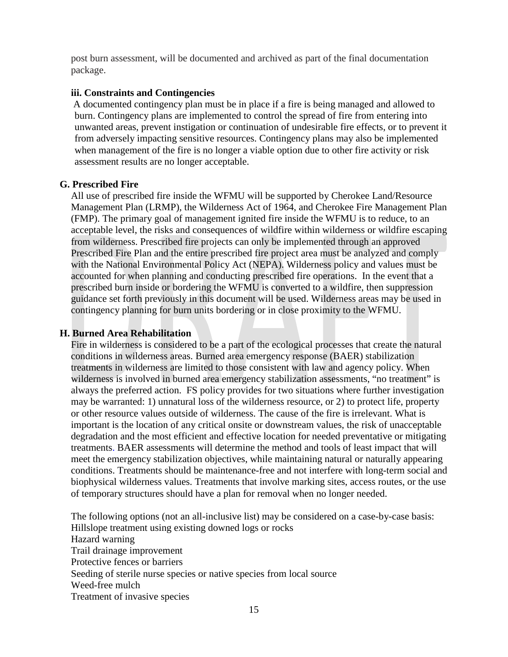post burn assessment, will be documented and archived as part of the final documentation package.

#### **iii. Constraints and Contingencies**

A documented contingency plan must be in place if a fire is being managed and allowed to burn. Contingency plans are implemented to control the spread of fire from entering into unwanted areas, prevent instigation or continuation of undesirable fire effects, or to prevent it from adversely impacting sensitive resources. Contingency plans may also be implemented when management of the fire is no longer a viable option due to other fire activity or risk assessment results are no longer acceptable.

#### **G. Prescribed Fire**

All use of prescribed fire inside the WFMU will be supported by Cherokee Land/Resource Management Plan (LRMP), the Wilderness Act of 1964, and Cherokee Fire Management Plan (FMP). The primary goal of management ignited fire inside the WFMU is to reduce, to an acceptable level, the risks and consequences of wildfire within wilderness or wildfire escaping from wilderness. Prescribed fire projects can only be implemented through an approved Prescribed Fire Plan and the entire prescribed fire project area must be analyzed and comply with the National Environmental Policy Act (NEPA). Wilderness policy and values must be accounted for when planning and conducting prescribed fire operations. In the event that a prescribed burn inside or bordering the WFMU is converted to a wildfire, then suppression guidance set forth previously in this document will be used. Wilderness areas may be used in contingency planning for burn units bordering or in close proximity to the WFMU.

#### **H. Burned Area Rehabilitation**

Fire in wilderness is considered to be a part of the ecological processes that create the natural conditions in wilderness areas. Burned area emergency response (BAER) stabilization treatments in wilderness are limited to those consistent with law and agency policy. When wilderness is involved in burned area emergency stabilization assessments, "no treatment" is always the preferred action. FS policy provides for two situations where further investigation may be warranted: 1) unnatural loss of the wilderness resource, or 2) to protect life, property or other resource values outside of wilderness. The cause of the fire is irrelevant. What is important is the location of any critical onsite or downstream values, the risk of unacceptable degradation and the most efficient and effective location for needed preventative or mitigating treatments. BAER assessments will determine the method and tools of least impact that will meet the emergency stabilization objectives, while maintaining natural or naturally appearing conditions. Treatments should be maintenance-free and not interfere with long-term social and biophysical wilderness values. Treatments that involve marking sites, access routes, or the use of temporary structures should have a plan for removal when no longer needed.

The following options (not an all-inclusive list) may be considered on a case-by-case basis: Hillslope treatment using existing downed logs or rocks Hazard warning Trail drainage improvement Protective fences or barriers Seeding of sterile nurse species or native species from local source Weed-free mulch Treatment of invasive species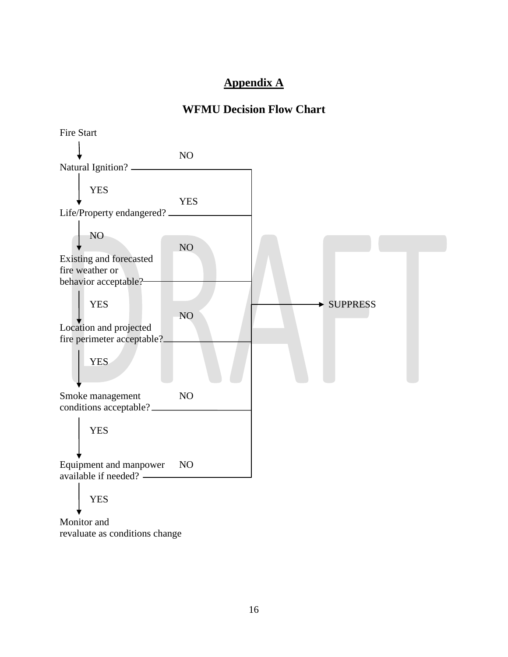### **Appendix A**

### **WFMU Decision Flow Chart**

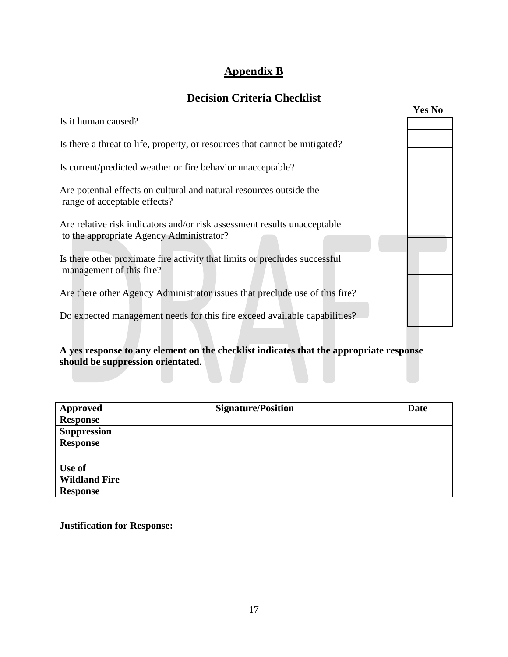## **Appendix B**

## **Decision Criteria Checklist**

|                                                                                                                      | <b>Yes No</b> |  |
|----------------------------------------------------------------------------------------------------------------------|---------------|--|
| Is it human caused?                                                                                                  |               |  |
| Is there a threat to life, property, or resources that cannot be mitigated?                                          |               |  |
| Is current/predicted weather or fire behavior unacceptable?                                                          |               |  |
| Are potential effects on cultural and natural resources outside the<br>range of acceptable effects?                  |               |  |
| Are relative risk indicators and/or risk assessment results unacceptable<br>to the appropriate Agency Administrator? |               |  |
| Is there other proximate fire activity that limits or precludes successful<br>management of this fire?               |               |  |
| Are there other Agency Administrator issues that preclude use of this fire?                                          |               |  |
| Do expected management needs for this fire exceed available capabilities?                                            |               |  |
|                                                                                                                      |               |  |

**A yes response to any element on the checklist indicates that the appropriate response should be suppression orientated.**

| <b>Approved</b>      | <b>Signature/Position</b> | <b>Date</b> |
|----------------------|---------------------------|-------------|
| <b>Response</b>      |                           |             |
| <b>Suppression</b>   |                           |             |
| <b>Response</b>      |                           |             |
|                      |                           |             |
| Use of               |                           |             |
| <b>Wildland Fire</b> |                           |             |
| <b>Response</b>      |                           |             |

**Justification for Response:**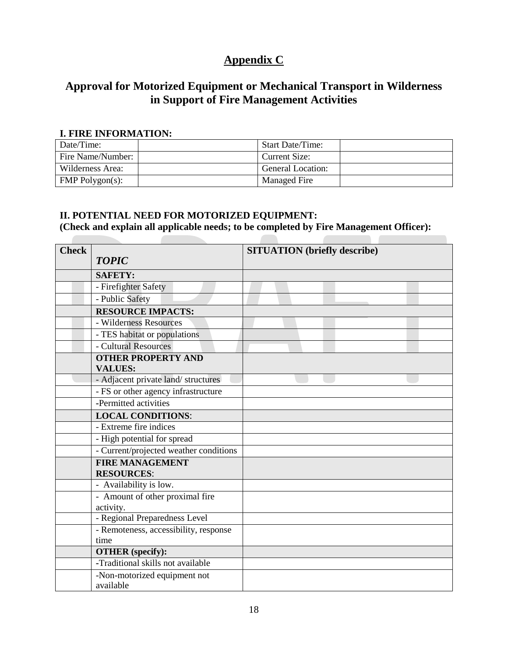## **Appendix C**

### **Approval for Motorized Equipment or Mechanical Transport in Wilderness in Support of Fire Management Activities**

#### **I. FIRE INFORMATION:**

**COLLEGE** 

| Date/Time:        | <b>Start Date/Time:</b>  |
|-------------------|--------------------------|
| Fire Name/Number: | Current Size:            |
| Wilderness Area:  | <b>General Location:</b> |
| $FMP$ Polygon(s): | <b>Managed Fire</b>      |

### **II. POTENTIAL NEED FOR MOTORIZED EQUIPMENT:**

**(Check and explain all applicable needs; to be completed by Fire Management Officer):**

 $\overline{\phantom{a}}$ 

| <b>Check</b> | <b>TOPIC</b>                              | <b>SITUATION</b> (briefly describe) |
|--------------|-------------------------------------------|-------------------------------------|
|              | <b>SAFETY:</b>                            |                                     |
|              | - Firefighter Safety                      |                                     |
|              | - Public Safety                           |                                     |
|              | <b>RESOURCE IMPACTS:</b>                  |                                     |
|              | - Wilderness Resources                    |                                     |
|              | - TES habitat or populations              |                                     |
|              | - Cultural Resources                      |                                     |
|              | <b>OTHER PROPERTY AND</b>                 |                                     |
|              | <b>VALUES:</b>                            |                                     |
|              | - Adjacent private land/ structures       |                                     |
|              | - FS or other agency infrastructure       |                                     |
|              | -Permitted activities                     |                                     |
|              | <b>LOCAL CONDITIONS:</b>                  |                                     |
|              | - Extreme fire indices                    |                                     |
|              | - High potential for spread               |                                     |
|              | - Current/projected weather conditions    |                                     |
|              | <b>FIRE MANAGEMENT</b>                    |                                     |
|              | <b>RESOURCES:</b>                         |                                     |
|              | - Availability is low.                    |                                     |
|              | - Amount of other proximal fire           |                                     |
|              | activity.                                 |                                     |
|              | - Regional Preparedness Level             |                                     |
|              | - Remoteness, accessibility, response     |                                     |
|              | time                                      |                                     |
|              | <b>OTHER</b> (specify):                   |                                     |
|              | -Traditional skills not available         |                                     |
|              | -Non-motorized equipment not<br>available |                                     |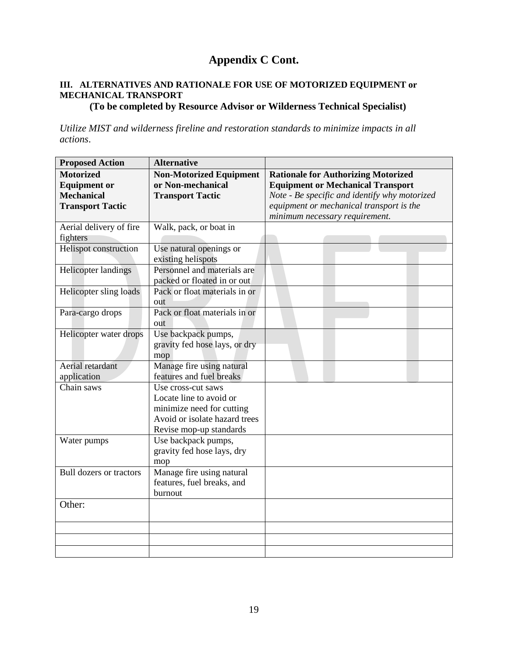## **Appendix C Cont.**

### **III. ALTERNATIVES AND RATIONALE FOR USE OF MOTORIZED EQUIPMENT or MECHANICAL TRANSPORT**

**(To be completed by Resource Advisor or Wilderness Technical Specialist)**

*Utilize MIST and wilderness fireline and restoration standards to minimize impacts in all actions*.

| <b>Proposed Action</b>     | <b>Alternative</b>             |                                               |
|----------------------------|--------------------------------|-----------------------------------------------|
| <b>Motorized</b>           | <b>Non-Motorized Equipment</b> | <b>Rationale for Authorizing Motorized</b>    |
| <b>Equipment or</b>        | or Non-mechanical              | <b>Equipment or Mechanical Transport</b>      |
| <b>Mechanical</b>          | <b>Transport Tactic</b>        | Note - Be specific and identify why motorized |
| <b>Transport Tactic</b>    |                                | equipment or mechanical transport is the      |
|                            |                                | minimum necessary requirement.                |
| Aerial delivery of fire    | Walk, pack, or boat in         |                                               |
| fighters                   |                                |                                               |
| Helispot construction      | Use natural openings or        |                                               |
|                            | existing helispots             |                                               |
| <b>Helicopter landings</b> | Personnel and materials are    |                                               |
|                            | packed or floated in or out    |                                               |
| Helicopter sling loads     | Pack or float materials in or  |                                               |
|                            | out                            |                                               |
| Para-cargo drops           | Pack or float materials in or  |                                               |
|                            | out                            |                                               |
| Helicopter water drops     | Use backpack pumps,            |                                               |
|                            | gravity fed hose lays, or dry  |                                               |
|                            | mop                            |                                               |
| Aerial retardant           | Manage fire using natural      |                                               |
| application                | features and fuel breaks       |                                               |
| Chain saws                 | Use cross-cut saws             |                                               |
|                            | Locate line to avoid or        |                                               |
|                            | minimize need for cutting      |                                               |
|                            | Avoid or isolate hazard trees  |                                               |
|                            | Revise mop-up standards        |                                               |
| Water pumps                | Use backpack pumps,            |                                               |
|                            | gravity fed hose lays, dry     |                                               |
|                            | mop                            |                                               |
| Bull dozers or tractors    | Manage fire using natural      |                                               |
|                            | features, fuel breaks, and     |                                               |
|                            | burnout                        |                                               |
| Other:                     |                                |                                               |
|                            |                                |                                               |
|                            |                                |                                               |
|                            |                                |                                               |
|                            |                                |                                               |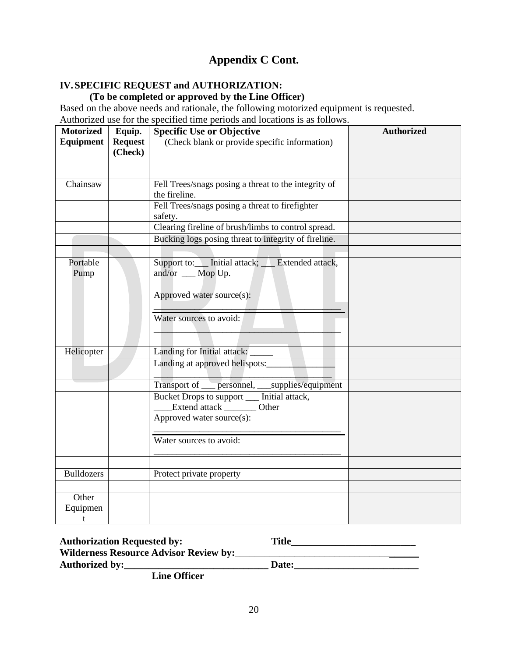## **Appendix C Cont.**

### **IV. SPECIFIC REQUEST and AUTHORIZATION:**

#### **(To be completed or approved by the Line Officer)**

Based on the above needs and rationale, the following motorized equipment is requested. Authorized use for the specified time periods and locations is as follows.

| <b>Motorized</b><br>Equipment | Equip.<br><b>Request</b><br>(Check) | <b>Specific Use or Objective</b><br>(Check blank or provide specific information)                        | <b>Authorized</b> |
|-------------------------------|-------------------------------------|----------------------------------------------------------------------------------------------------------|-------------------|
|                               |                                     |                                                                                                          |                   |
| Chainsaw                      |                                     | Fell Trees/snags posing a threat to the integrity of<br>the fireline.                                    |                   |
|                               |                                     | Fell Trees/snags posing a threat to firefighter<br>safety.                                               |                   |
|                               |                                     | Clearing fireline of brush/limbs to control spread.                                                      |                   |
|                               |                                     | Bucking logs posing threat to integrity of fireline.                                                     |                   |
|                               |                                     |                                                                                                          |                   |
| Portable<br>Pump              |                                     | Support to: Initial attack; Extended attack,<br>and/or __ Mop Up.<br>Approved water source(s):           |                   |
|                               |                                     | Water sources to avoid:                                                                                  |                   |
|                               |                                     |                                                                                                          |                   |
| Helicopter                    |                                     | Landing for Initial attack:                                                                              |                   |
|                               |                                     | Landing at approved helispots:                                                                           |                   |
|                               |                                     | Transport of __ personnel, __supplies/equipment                                                          |                   |
|                               |                                     | Bucket Drops to support __ Initial attack,<br>Extend attack _________ Other<br>Approved water source(s): |                   |
|                               |                                     | Water sources to avoid:                                                                                  |                   |
|                               |                                     |                                                                                                          |                   |
| <b>Bulldozers</b>             |                                     | Protect private property                                                                                 |                   |
|                               |                                     |                                                                                                          |                   |
| Other<br>Equipmen<br>t        |                                     |                                                                                                          |                   |

| <b>Authorization Requested by:</b>            | Title |
|-----------------------------------------------|-------|
| <b>Wilderness Resource Advisor Review by:</b> |       |
| <b>Authorized by:</b>                         | Date: |

 **Line Officer**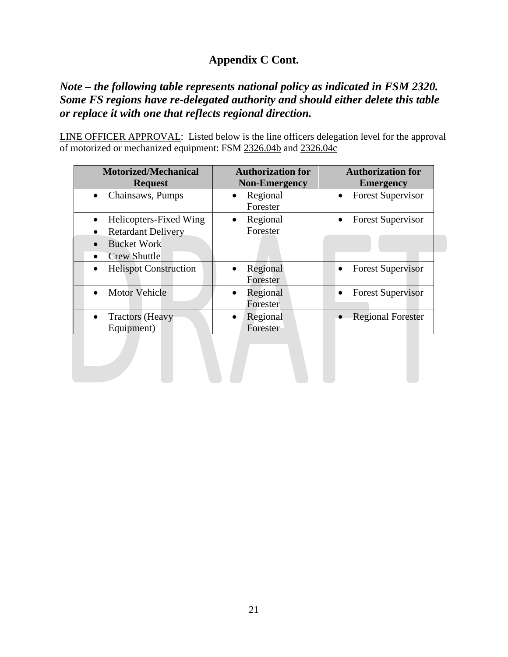## **Appendix C Cont.**

### *Note – the following table represents national policy as indicated in FSM 2320. Some FS regions have re-delegated authority and should either delete this table or replace it with one that reflects regional direction.*

LINE OFFICER APPROVAL: Listed below is the line officers delegation level for the approval of motorized or mechanized equipment: FSM 2326.04b and 2326.04c

| <b>Authorization for</b><br><b>Non-Emergency</b> | <b>Authorization for</b><br><b>Emergency</b> |
|--------------------------------------------------|----------------------------------------------|
| Regional<br>Forester                             | <b>Forest Supervisor</b>                     |
| Regional<br>$\bullet$<br>Forester                | <b>Forest Supervisor</b>                     |
| Regional<br>$\bullet$<br>Forester                | <b>Forest Supervisor</b>                     |
| Regional<br>$\bullet$<br>Forester                | <b>Forest Supervisor</b>                     |
| Regional<br>$\bullet$<br>Forester                | <b>Regional Forester</b>                     |
|                                                  |                                              |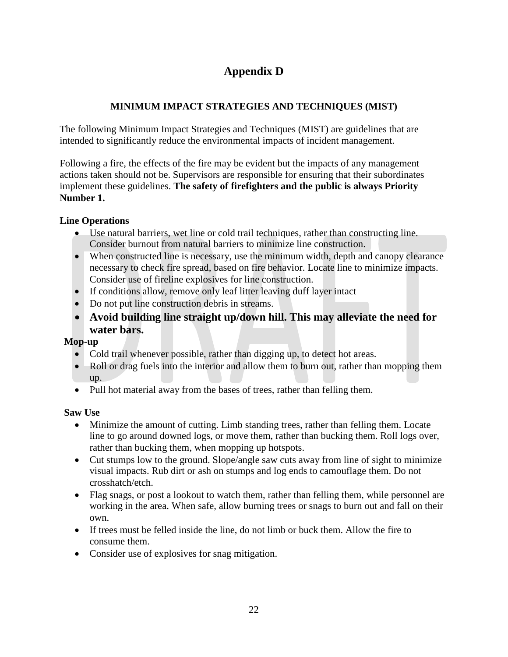## **Appendix D**

### **MINIMUM IMPACT STRATEGIES AND TECHNIQUES (MIST)**

The following Minimum Impact Strategies and Techniques (MIST) are guidelines that are intended to significantly reduce the environmental impacts of incident management.

Following a fire, the effects of the fire may be evident but the impacts of any management actions taken should not be. Supervisors are responsible for ensuring that their subordinates implement these guidelines. **The safety of firefighters and the public is always Priority Number 1.**

### **Line Operations**

- Use natural barriers, wet line or cold trail techniques, rather than constructing line. Consider burnout from natural barriers to minimize line construction.
- When constructed line is necessary, use the minimum width, depth and canopy clearance necessary to check fire spread, based on fire behavior. Locate line to minimize impacts. Consider use of fireline explosives for line construction.
- If conditions allow, remove only leaf litter leaving duff layer intact
- Do not put line construction debris in streams.
- **Avoid building line straight up/down hill. This may alleviate the need for water bars.**

#### **Mop-up**

- Cold trail whenever possible, rather than digging up, to detect hot areas.
- Roll or drag fuels into the interior and allow them to burn out, rather than mopping them up.
- Pull hot material away from the bases of trees, rather than felling them.

#### **Saw Use**

- Minimize the amount of cutting. Limb standing trees, rather than felling them. Locate line to go around downed logs, or move them, rather than bucking them. Roll logs over, rather than bucking them, when mopping up hotspots.
- Cut stumps low to the ground. Slope/angle saw cuts away from line of sight to minimize visual impacts. Rub dirt or ash on stumps and log ends to camouflage them. Do not crosshatch/etch.
- Flag snags, or post a lookout to watch them, rather than felling them, while personnel are working in the area. When safe, allow burning trees or snags to burn out and fall on their own.
- If trees must be felled inside the line, do not limb or buck them. Allow the fire to consume them.
- Consider use of explosives for snag mitigation.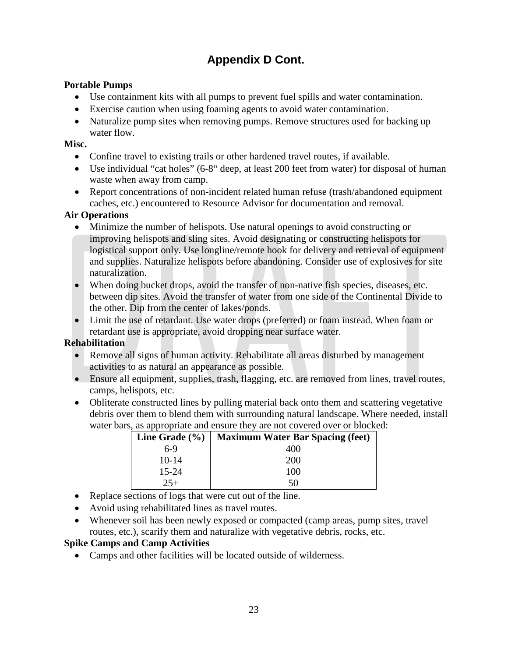## **Appendix D Cont.**

### **Portable Pumps**

- Use containment kits with all pumps to prevent fuel spills and water contamination.
- Exercise caution when using foaming agents to avoid water contamination.
- Naturalize pump sites when removing pumps. Remove structures used for backing up water flow.

### **Misc.**

- Confine travel to existing trails or other hardened travel routes, if available.
- Use individual "cat holes" (6-8" deep, at least 200 feet from water) for disposal of human waste when away from camp.
- Report concentrations of non-incident related human refuse (trash/abandoned equipment caches, etc.) encountered to Resource Advisor for documentation and removal.

### **Air Operations**

- Minimize the number of helispots. Use natural openings to avoid constructing or improving helispots and sling sites. Avoid designating or constructing helispots for logistical support only. Use longline/remote hook for delivery and retrieval of equipment and supplies. Naturalize helispots before abandoning. Consider use of explosives for site naturalization.
- When doing bucket drops, avoid the transfer of non-native fish species, diseases, etc. between dip sites. Avoid the transfer of water from one side of the Continental Divide to the other. Dip from the center of lakes/ponds.
- Limit the use of retardant. Use water drops (preferred) or foam instead. When foam or retardant use is appropriate, avoid dropping near surface water.

### **Rehabilitation**

- Remove all signs of human activity. Rehabilitate all areas disturbed by management activities to as natural an appearance as possible.
- Ensure all equipment, supplies, trash, flagging, etc. are removed from lines, travel routes, camps, helispots, etc.
- Obliterate constructed lines by pulling material back onto them and scattering vegetative debris over them to blend them with surrounding natural landscape. Where needed, install water bars, as appropriate and ensure they are not covered over or blocked:

| Line Grade $(\% )$ | <b>Maximum Water Bar Spacing (feet)</b> |
|--------------------|-----------------------------------------|
| 6-9                | 400                                     |
| $10-14$            | 200                                     |
| $15 - 24$          | 100                                     |
|                    | 50                                      |

- Replace sections of logs that were cut out of the line.
- Avoid using rehabilitated lines as travel routes.
- Whenever soil has been newly exposed or compacted (camp areas, pump sites, travel routes, etc.), scarify them and naturalize with vegetative debris, rocks, etc.

### **Spike Camps and Camp Activities**

• Camps and other facilities will be located outside of wilderness.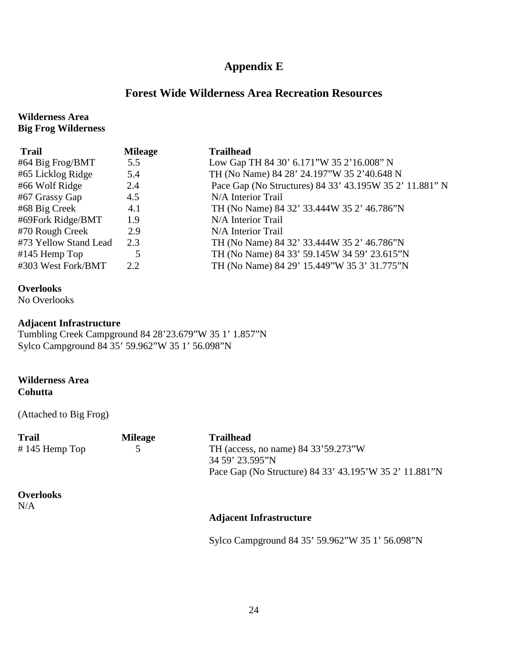## **Appendix E**

## **Forest Wide Wilderness Area Recreation Resources**

**Wilderness Area Big Frog Wilderness**

| <b>Trail</b>          | <b>Mileage</b> | <b>Trailhead</b>                                        |
|-----------------------|----------------|---------------------------------------------------------|
| #64 Big Frog/BMT      | 5.5            | Low Gap TH 84 30' 6.171"W 35 2'16.008" N                |
| #65 Licklog Ridge     | 5.4            | TH (No Name) 84 28' 24.197"W 35 2'40.648 N              |
| #66 Wolf Ridge        | 2.4            | Pace Gap (No Structures) 84 33' 43.195W 35 2' 11.881" N |
| #67 Grassy Gap        | 4.5            | N/A Interior Trail                                      |
| #68 Big Creek         | 4.1            | TH (No Name) 84 32' 33.444W 35 2' 46.786"N              |
| #69Fork Ridge/BMT     | 1.9            | N/A Interior Trail                                      |
| #70 Rough Creek       | 2.9            | N/A Interior Trail                                      |
| #73 Yellow Stand Lead | 2.3            | TH (No Name) 84 32' 33.444W 35 2' 46.786"N              |
| #145 Hemp Top         | 5              | TH (No Name) 84 33' 59.145W 34 59' 23.615"N             |
| #303 West Fork/BMT    | 2.2            | TH (No Name) 84 29' 15.449"W 35 3' 31.775"N             |

#### **Overlooks**

No Overlooks

#### **Adjacent Infrastructure**

Tumbling Creek Campground 84 28'23.679"W 35 1' 1.857"N Sylco Campground 84 35' 59.962"W 35 1' 56.098"N

#### **Wilderness Area Cohutta**

N/A

(Attached to Big Frog)

| <b>Trail</b>     | <b>Mileage</b> | <b>Trailhead</b>                                       |
|------------------|----------------|--------------------------------------------------------|
| $# 145$ Hemp Top |                | TH (access, no name) 84 33'59.273"W                    |
|                  |                | 34 59' 23.595"N                                        |
|                  |                | Pace Gap (No Structure) 84 33' 43.195'W 35 2' 11.881"N |
| <b>Overlooks</b> |                |                                                        |

### **Adjacent Infrastructure**

Sylco Campground 84 35' 59.962"W 35 1' 56.098"N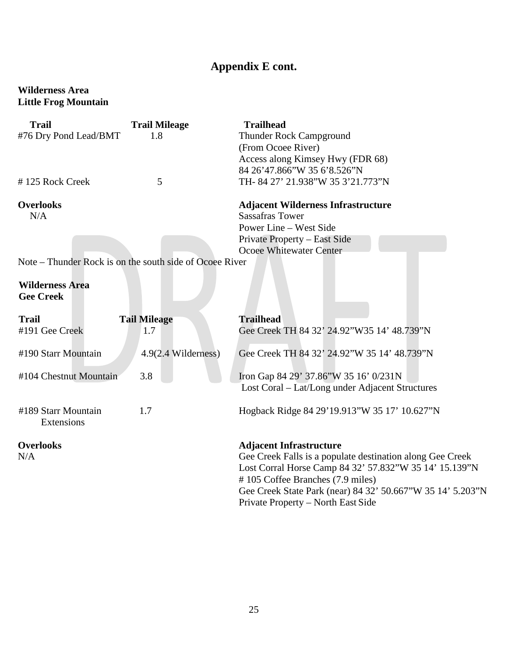### **Wilderness Area Little Frog Mountain**

| <b>Trail</b>                                            | <b>Trail Mileage</b>       | <b>Trailhead</b>                                               |
|---------------------------------------------------------|----------------------------|----------------------------------------------------------------|
| #76 Dry Pond Lead/BMT                                   | 1.8                        | <b>Thunder Rock Campground</b><br>(From Ocoee River)           |
|                                                         |                            | Access along Kimsey Hwy (FDR 68)                               |
|                                                         |                            | 84 26'47.866"W 35 6'8.526"N                                    |
| #125 Rock Creek                                         | 5                          | TH-84 27' 21.938"W 35 3'21.773"N                               |
| <b>Overlooks</b>                                        |                            | <b>Adjacent Wilderness Infrastructure</b>                      |
| N/A                                                     |                            | <b>Sassafras Tower</b>                                         |
|                                                         |                            | <b>Power Line - West Side</b>                                  |
|                                                         |                            | Private Property - East Side<br>Ocoee Whitewater Center        |
| Note – Thunder Rock is on the south side of Ocoee River |                            |                                                                |
|                                                         |                            |                                                                |
| <b>Wilderness Area</b><br><b>Gee Creek</b>              |                            |                                                                |
|                                                         |                            |                                                                |
| <b>Trail</b><br>#191 Gee Creek                          | <b>Tail Mileage</b><br>1.7 | <b>Trailhead</b><br>Gee Creek TH 84 32' 24.92"W35 14' 48.739"N |
| #190 Starr Mountain                                     | 4.9(2.4 Wilderness)        | Gee Creek TH 84 32' 24.92"W 35 14' 48.739"N                    |
| #104 Chestnut Mountain                                  | 3.8                        | Iron Gap 84 29' 37.86"W 35 16' 0/231N                          |
|                                                         |                            | Lost Coral – Lat/Long under Adjacent Structures                |
| #189 Starr Mountain<br>Extensions                       | 1.7                        | Hogback Ridge 84 29'19.913"W 35 17' 10.627"N                   |
| <b>Overlooks</b>                                        |                            | <b>Adjacent Infrastructure</b>                                 |
| N/A                                                     |                            | Gee Creek Falls is a populate destination along Gee Creek      |
|                                                         |                            | Lost Corral Horse Camp 84 32' 57.832"W 35 14' 15.139"N         |
|                                                         |                            | #105 Coffee Branches (7.9 miles)                               |
|                                                         |                            | Gee Creek State Park (near) 84 32' 50.667"W 35 14' 5.203"N     |
|                                                         |                            | Private Property - North East Side                             |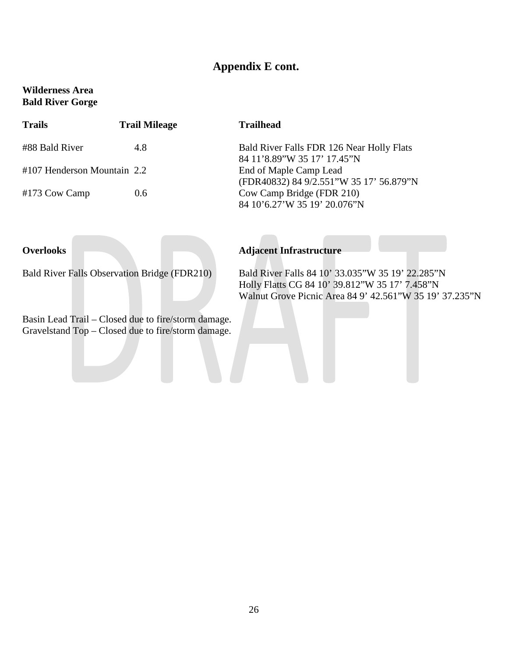#### **Wilderness Area Bald River Gorge**

| <b>Trails</b>               | <b>Trail Mileage</b> | <b>Trailhead</b>                                                         |
|-----------------------------|----------------------|--------------------------------------------------------------------------|
| #88 Bald River              | 4.8                  | Bald River Falls FDR 126 Near Holly Flats<br>84 11'8.89"W 35 17' 17.45"N |
| #107 Henderson Mountain 2.2 |                      | End of Maple Camp Lead<br>(FDR40832) 84 9/2.551"W 35 17' 56.879"N        |
| #173 Cow Camp               | $0.6^{\circ}$        | Cow Camp Bridge (FDR 210)<br>84 10'6.27'W 35 19' 20.076"N                |

#### **Overlooks**

### **Adjacent Infrastructure**

Bald River Falls Observation Bridge (FDR210)

Bald River Falls 84 10' 33.035"W 35 19' 22.285"N Holly Flatts CG 84 10' 39.812"W 35 17' 7.458"N Walnut Grove Picnic Area 84 9' 42.561"W 35 19' 37.235"N

Basin Lead Trail – Closed due to fire/storm damage. Gravelstand Top – Closed due to fire/storm damage.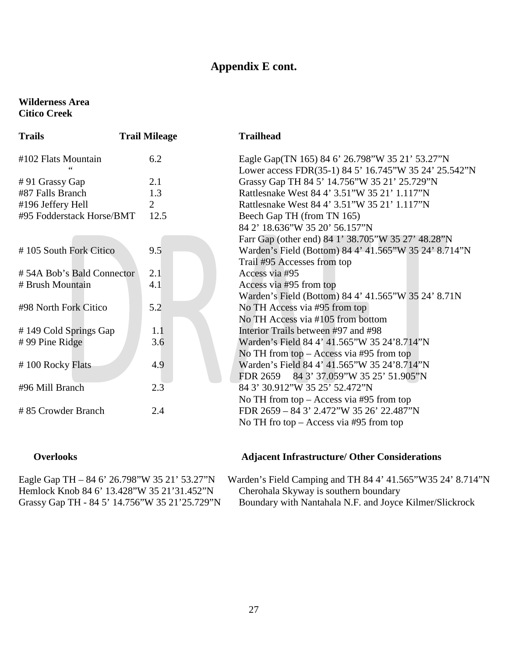#### **Wilderness Area Citico Creek**

| <b>Trails</b>             | <b>Trail Mileage</b> | <b>Trailhead</b>                                      |
|---------------------------|----------------------|-------------------------------------------------------|
| #102 Flats Mountain       | 6.2                  | Eagle Gap(TN 165) 84 6' 26.798"W 35 21' 53.27"N       |
|                           |                      | Lower access FDR(35-1) 84 5' 16.745"W 35 24' 25.542"N |
| #91 Grassy Gap            | 2.1                  | Grassy Gap TH 84 5' 14.756"W 35 21' 25.729"N          |
| #87 Falls Branch          | 1.3                  | Rattlesnake West 84 4' 3.51"W 35 21' 1.117"N          |
| #196 Jeffery Hell         | $\overline{2}$       | Rattlesnake West 84 4' 3.51"W 35 21' 1.117"N          |
| #95 Fodderstack Horse/BMT | 12.5                 | Beech Gap TH (from TN 165)                            |
|                           |                      | 84 2' 18.636"W 35 20' 56.157"N                        |
|                           |                      | Farr Gap (other end) 84 1' 38.705"W 35 27' 48.28"N    |
| #105 South Fork Citico    | 9.5                  | Warden's Field (Bottom) 84 4' 41.565"W 35 24' 8.714"N |
|                           |                      | Trail #95 Accesses from top                           |
| #54A Bob's Bald Connector | 2.1                  | Access via #95                                        |
| # Brush Mountain          | 4.1                  | Access via #95 from top                               |
|                           |                      | Warden's Field (Bottom) 84 4' 41.565"W 35 24' 8.71N   |
| #98 North Fork Citico     | 5.2                  | No TH Access via #95 from top                         |
|                           |                      | No TH Access via #105 from bottom                     |
| #149 Cold Springs Gap     | 1.1                  | Interior Trails between #97 and #98                   |
| #99 Pine Ridge            | 3.6                  | Warden's Field 84 4' 41.565"W 35 24'8.714"N           |
|                           |                      | No TH from top $-$ Access via #95 from top            |
| #100 Rocky Flats          | 4.9                  | Warden's Field 84 4' 41.565"W 35 24'8.714"N           |
|                           |                      | FDR 2659<br>84 3' 37.059"W 35 25' 51.905"N            |
| #96 Mill Branch           | 2.3                  | 84 3' 30.912"W 35 25' 52.472"N                        |
|                           |                      | No TH from top $-$ Access via #95 from top            |
| #85 Crowder Branch        | 2.4                  | FDR 2659 - 84 3' 2.472"W 35 26' 22.487"N              |
|                           |                      | No TH fro top $-$ Access via #95 from top             |
|                           |                      |                                                       |

#### **Overlooks**

Eagle Gap TH – 84 6' 26.798"W 35 21' 53.27"N Hemlock Knob 84 6' 13.428"W 35 21'31.452"N Grassy Gap TH - 84 5' 14.756"W 35 21'25.729"N

 Warden's Field Camping and TH 84 4' 41.565"W35 24' 8.714"N Cherohala Skyway is southern boundary Boundary with Nantahala N.F. and Joyce Kilmer/Slickrock

 **Adjacent Infrastructure/ Other Considerations**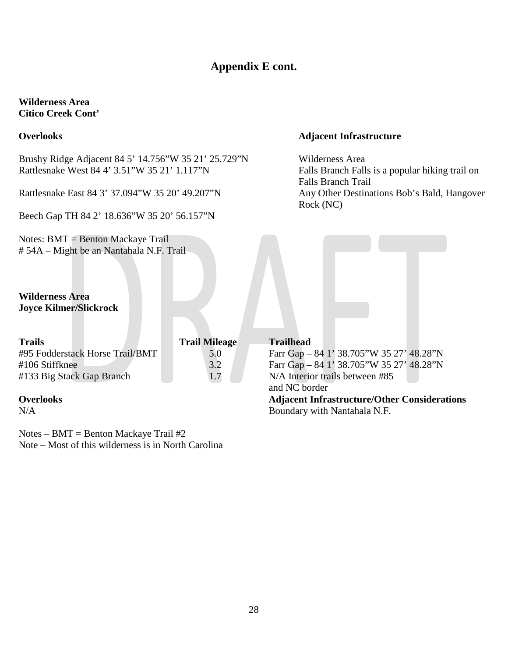#### **Wilderness Area Citico Creek Cont'**

#### **Overlooks**

Brushy Ridge Adjacent 84 5' 14.756"W 35 21' 25.729"N Rattlesnake West 84 4' 3.51"W 35 21' 1.117"N

Rattlesnake East 84 3' 37.094"W 35 20' 49.207"N

Beech Gap TH 84 2' 18.636"W 35 20' 56.157"N

Notes: BMT = Benton Mackaye Trail # 54A – Might be an Nantahala N.F. Trail

#### **Wilderness Area Joyce Kilmer/Slickrock**

### **Trails** Trail Mileage #95 Fodderstack Horse Trail/BMT 5.0 #106 Stiffknee 3.2 #133 Big Stack Gap Branch 1.7 and NC border

**Overlooks** 

N/A

Notes – BMT = Benton Mackaye Trail #2 Note – Most of this wilderness is in North Carolina

#### **Adjacent Infrastructure**

Wilderness Area Falls Branch Falls is a popular hiking trail on Falls Branch Trail Any Other Destinations Bob's Bald, Hangover Rock (NC)

| Trailhead                                                                                                               |  |  |  |
|-------------------------------------------------------------------------------------------------------------------------|--|--|--|
| Farr Gap - 84 1' 38.705"W 35 27' 48.28"N<br>Farr Gap - 84 1' 38.705"W 35 27' 48.28"N<br>N/A Interior trails between #85 |  |  |  |
| and NC border<br><b>Adjacent Infrastructure/Other Considerations</b>                                                    |  |  |  |
| Boundary with Nantahala N.F.                                                                                            |  |  |  |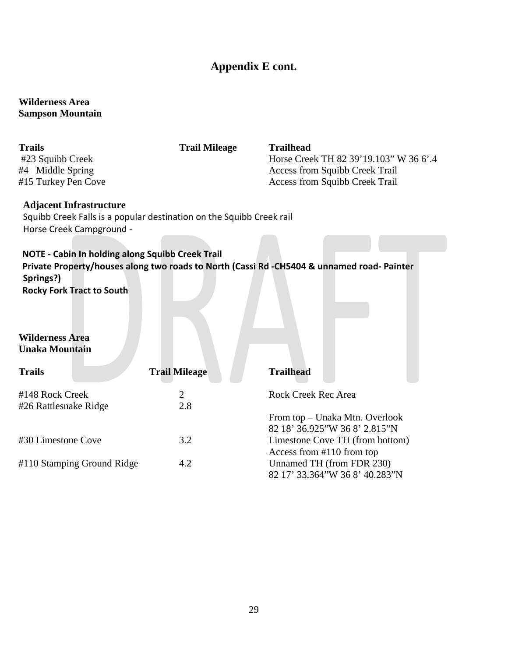#### **Wilderness Area Sampson Mountain**

**Trails**<br>
#23 Squibb Creek<br>
Horse Cree #23 Squibb Creek<br>
#4 Middle Spring<br>
#4 Middle Spring<br>  $\frac{44}{3}$  Middle Spring<br>  $\frac{44}{3}$  Middle Spring<br>  $\frac{44}{3}$  Middle Spring #4 Middle Spring Access from Squibb Creek Trail Access from Squibb Creek Trail

#### **Adjacent Infrastructure**

Squibb Creek Falls is a popular destination on the Squibb Creek rail Horse Creek Campground -

## **NOTE - Cabin In holding along Squibb Creek Trail Private Property/houses along two roads to North (Cassi Rd -CH5404 & unnamed road- Painter Springs?)**

**Rocky Fork Tract to South**

#### **Wilderness Area Unaka Mountain**

| <b>Trails</b>              | <b>Trail Mileage</b> | <b>Trailhead</b>                |
|----------------------------|----------------------|---------------------------------|
| #148 Rock Creek            | 2                    | <b>Rock Creek Rec Area</b>      |
| #26 Rattlesnake Ridge      | 2.8                  |                                 |
|                            |                      | From top – Unaka Mtn. Overlook  |
|                            |                      | 82 18' 36.925"W 36 8' 2.815"N   |
| #30 Limestone Cove         | 3.2                  | Limestone Cove TH (from bottom) |
|                            |                      | Access from #110 from top       |
| #110 Stamping Ground Ridge | 4.2                  | Unnamed TH (from FDR 230)       |
|                            |                      | 82 17' 33.364"W 36 8' 40.283"N  |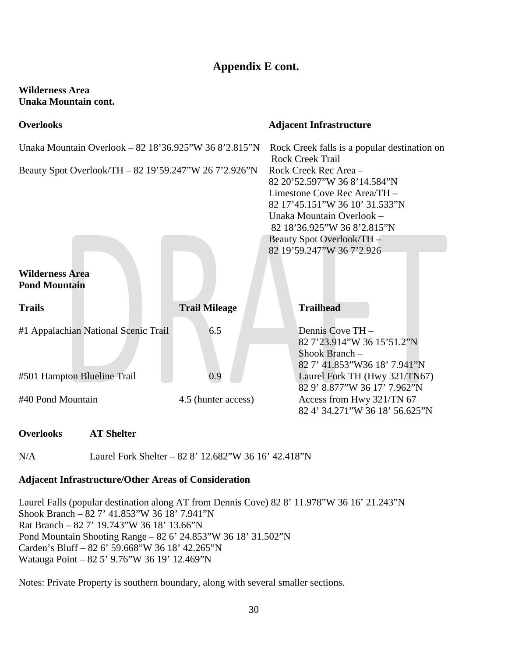#### **Wilderness Area Unaka Mountain cont.**

| <b>Overlooks</b>                                      | <b>Adjacent Infrastructure</b>                                                                                                                                                      |                                                                                                      |  |
|-------------------------------------------------------|-------------------------------------------------------------------------------------------------------------------------------------------------------------------------------------|------------------------------------------------------------------------------------------------------|--|
| Unaka Mountain Overlook – 82 18'36.925"W 36 8'2.815"N | Rock Creek falls is a popular destination on<br><b>Rock Creek Trail</b>                                                                                                             |                                                                                                      |  |
| Beauty Spot Overlook/TH - 82 19'59.247"W 26 7'2.926"N | Rock Creek Rec Area -<br>82 20'52.597"W 36 8'14.584"N<br>Limestone Cove Rec Area/TH -<br>82 17'45.151"W 36 10' 31.533"N<br>Unaka Mountain Overlook -<br>82 18'36.925"W 36 8'2.815"N |                                                                                                      |  |
|                                                       |                                                                                                                                                                                     | Beauty Spot Overlook/TH -<br>82 19'59.247"W 36 7'2.926                                               |  |
| <b>Wilderness Area</b><br><b>Pond Mountain</b>        |                                                                                                                                                                                     |                                                                                                      |  |
| <b>Trails</b>                                         | <b>Trail Mileage</b>                                                                                                                                                                | <b>Trailhead</b>                                                                                     |  |
| #1 Appalachian National Scenic Trail                  | 6.5                                                                                                                                                                                 | Dennis Cove TH -<br>82 7'23.914"W 36 15'51.2"N<br>Shook Branch $-$<br>82 7' 41.853" W36 18' 7.941" N |  |
| #501 Hampton Blueline Trail                           | 0.9                                                                                                                                                                                 | Laurel Fork TH (Hwy 321/TN67)<br>82 9' 8.877"W 36 17' 7.962"N                                        |  |
| #40 Pond Mountain                                     | 4.5 (hunter access)                                                                                                                                                                 | Access from Hwy 321/TN 67<br>82 4' 34.271"W 36 18' 56.625"N                                          |  |

#### **Overlooks AT Shelter**

N/ALaurel Fork Shelter – 82 8' 12.682"W 36 16' 42.418"N

#### **Adjacent Infrastructure/Other Areas of Consideration**

Laurel Falls (popular destination along AT from Dennis Cove) 82 8' 11.978"W 36 16' 21.243"N Shook Branch – 82 7' 41.853"W 36 18' 7.941"N Rat Branch – 82 7' 19.743"W 36 18' 13.66"N Pond Mountain Shooting Range – 82 6' 24.853"W 36 18' 31.502"N Carden's Bluff – 82 6' 59.668"W 36 18' 42.265"N Watauga Point – 82 5' 9.76"W 36 19' 12.469"N

Notes: Private Property is southern boundary, along with several smaller sections.